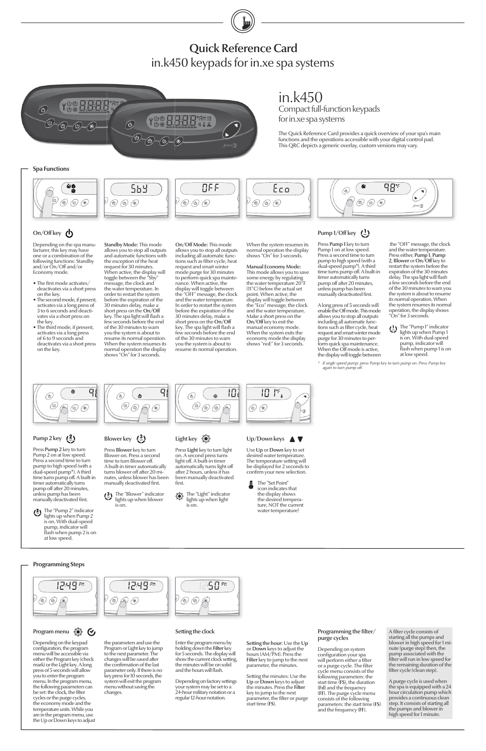the "OFF" message, the clock and the water temperature. Press either, Pump 1, Pump 2, Blower or On/Off key to restart the system before the expiration of the 30 minutes delay. The spa light will flash a few seconds before the end of the 30 minutes to warn you the system is about to resume its normal operation. When the system resumes its normal operation, the display shows "On" for 3 seconds.

The "Pump 1" indicator lights up when Pump 1 is on. With dual-speed pump, indicator will flash when pump 1 is on at low speed.

- $\bullet$  The first mode activates/ deactivates via a short press on the key.
- The second mode, if present, activates via a long press of 3 to 6 seconds and deactivates via a short press on the key.
- The third mode, if present, activates via a long press of 6 to 9 seconds and deactivates via a short press on the key.

Depending on the spa manufacturer, this key may have one or a combination of the following functions: Standby and/or On/Off and/or Economy mode.

Press Pump 1 key to turn Pump 1 on at low speed. Press a second time to turn pump to high speed (with a dual-speed pump\*). A third time turns pump off. A built-in timer automatically turns pump off after 20 minutes, unless pump has been manually deactivated first.

in.k450

for in.xe spa systems

Compact full-function keypads

The Quick Reference Card provides a quick overview of your spa's main functions and the operations accessible with your digital control pad. This QRC depicts a generic overlay, custom versions may vary.

#### Pump  $1/O$ ff key  $($ <sup>1</sup> $)$

Press Pump 2 key to turn Pump 2 on at low speed. Press a second time to turn pump to high speed (with a dual-speed pump\*). A third time turns pump off. A built-in timer automatically turns pump off after 20 minutes. unless pump has been manually deactivated first.

Press Light key to turn light on. A second press turns light off. A built-in timer automatically turns light off after 2 hours, unless it has been manually deactivated first.

Standby Mode: This mode allows you to stop all outputs and automatic functions with the exception of the heat request for 30 minutes. When active, the display will toggle between the "Sby message, the clock and the water temperature. In order to restart the system before the expiration of the 30 minutes delay, make a short press on the On/Off key. The spa light will flash a few seconds before the end of the 30 minutes to warn you the system is about to resume its normal operation. When the system resumes its normal operation the display shows "On" for 3 seconds.

> Use Up or Down key to set desired water temperature. The temperature setting will be displayed for 2 seconds to confirm your new selection.

#### Programming the filter/ purge cycles

Press Blower key to turn Blower on. Press a second time to turn Blower off. A built-in timer automatically turns blower off after 20 minutes, unless blower has been manually deactivated first.

## Quick Reference Card in.k450 keypads for in.xe spa systems



Setting the hour: Use the Up or Down keys to adjust the hours (AM/PM). Press the Filter key to jump to the next parameter, the minutes.

> Setting the minutes: Use the Up or Down keys to adjust the minutes. Press the Filter key to jump to the next  $\frac{m}{r}$  be the filter or purge start time (FS).

A long press of 5 seconds will enable the Off mode. This mode allows you to stop all outputs including all automatic functions such as filter cycle, heat request and smart winter mode purge for 30 minutes to perform quick spa maintenance. When the Off mode is active, the display will toggle between





### Blower key  $(3)$

The "Light" indicator  $\frac{1}{2}$  lhe "Light" indicator<br>lights up when light is on.



#### Up/Down keys **△▼**

 The "Set Point" icon indicates that the display shows the desired tempera ture, NOT the current water temperature!

#### Setting the clock

 $\circledcirc$ 

your system may be set to a 24-hour military notation or a regular 12-hour notation.

'50 °"

Depending on system configuration your spa will perform either a filter or a purge cycle. The filter cycle menu consists of the following parameters: the start time (FS), the duration (Fd) and the frequency (FF). The purge cycle menu consists of the following parameters: the start time (FS) and the frequency (FF).

A filter cycle consists of starting all the pumps and blower in high speed for 1 minute (purge step) then, the pump associated with the filter will run in low speed for the remaining duration of the filter cycle (clean step).

The "Blower" indicator lights up when blower is on.



#### Light key

#### **Spa Functions**

$$
\left(\begin{array}{ccccc}\n\bullet & & & & \\
\bullet & & & & \\
\bullet & & & & & \\
\hline\n\end{array}\right)\n\quad\n\begin{array}{ccccc}\n\bullet & & & & & \\
\bullet & & & & & \\
\hline\n\bullet & & & & & \\
\hline\n\bullet & & & & & \\
\hline\n\bullet & & & & & \\
\hline\n\bullet & & & & & \\
\hline\n\bullet & & & & & \\
\hline\n\bullet & & & & & \\
\hline\n\bullet & & & & & \\
\hline\n\bullet & & & & & \\
\hline\n\bullet & & & & & \\
\hline\n\bullet & & & & & \\
\hline\n\bullet & & & & & \\
\hline\n\bullet & & & & & \\
\hline\n\bullet & & & & & \\
\hline\n\bullet & & & & & & \\
\hline\n\bullet & & & & & & \\
\hline\n\bullet & & & & & & \\
\hline\n\bullet & & & & & & \\
\hline\n\bullet & & & & & & \\
\hline\n\bullet & & & & & & \\
\hline\n\bullet & & & & & & \\
\hline\n\bullet & & & & & & \\
\hline\n\bullet & & & & & & \\
\hline\n\bullet & & & & & & \\
\hline\n\bullet & & & & & & \\
\hline\n\bullet & & & & & & \\
\hline\n\bullet & & & & & & \\
\hline\n\bullet & & & & & & & \\
\hline\n\bullet & & & & & & & \\
\hline\n\bullet & & & & & & & \\
\hline\n\bullet & & & & & & & \\
\hline\n\bullet & & & & & & & \\
\hline\n\bullet & & & & & & & \\
\hline\n\bullet & & & & & & & \\
\hline\n\bullet & & & & & & & \\
\hline\n\bullet & & & & & & & \\
\hline\n\bullet & & & & & & & \\
\hline\n\bullet & & & & & & & & \\
\hline\n\bullet & & & & & & & & \\
\hline\n\bullet & & & & & & & & \\
\hline\n\bullet & & & & & & & & \\
\hline\n\bullet & & & & & & & & \\
\hline\n\bullet & & & & & & & & \\
\hline\n\bullet & & & & & & & & \\
\hline\n\bullet & & & & & & & & \\
\hline\n\bullet & & & & & & & & \\
\hline\n\bullet & & & & & & & & \\
\hline\n\bullet & & & & & & & & \\
\hline\n\end{array}
$$

#### On/Off key  $\left(\cdot\right)$

*\* If single speed pump: press Pump key to turn pump on. Press Pump key again to turn pump off.*



#### Pump 2 key  $(2)$

On/Off Mode: This mode allows you to stop all outputs including all automatic functions such as filter cycle, heat request and smart winter mode purge for 30 minutes to perform quick spa maintenance. When active, the display will toggle between the "OFF" message, the clock and the water temperature. In order to restart the system before the expiration of the 30 minutes delay, make a short press on the On/Off key. The spa light will flash a few seconds before the end of the 30 minutes to warn you the system is about to resume its normal operation.

Enter the program menu by holding down the Filter key for 5 seconds. The display will show the current clock setting, the minutes will be on solid and the hours will flash. Depending on factory settings the parameters and use the Program or Light key to jump to the next parameter. The changes will be saved after the confirmation of the last parameter only. If there is no key press for 10 seconds, the system will exit the program menu without saving the

When the system resumes its normal operation the display shows "On" for 3 seconds. Manual Economy Mode: This mode allows you to save some energy by regulating the water temperature 20°F (11°C) below the actual set point. When active, the display will toggle between the "Eco" message, the clock and the water temperature. Make a short press on the On/Off key to exit the manual economy mode. When the system exits the economy mode the display shows "noE" for 3 seconds.

> A purge cycle is used when the spa is equipped with a 24 hour circulation pump which provides a continuous clean step. It consists of starting all the pumps and blower in high speed for 1 minute.

#### **Programming Steps**





Depending on the keypad configuration, the program menu will be accessible via either the Program key (check mark) or the Light key. A long press of 5 seconds will allow you to enter the program menu. In the program menu, the following parameters can be set: the clock, the filter cycles or the purge cycles, the economy mode and the temperature units. While you are in the program menu, use the Up or Down keys to adjust

changes.

Program menu : <